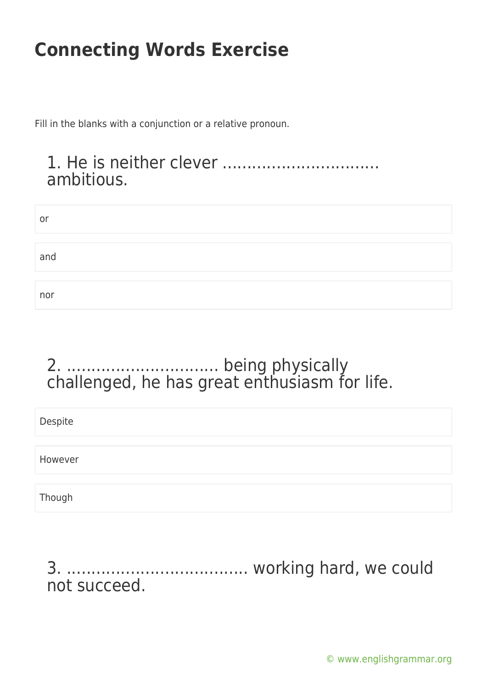Fill in the blanks with a conjunction or a relative pronoun.

### 1. He is neither clever ................................ ambitious.

| or  |  |  |
|-----|--|--|
|     |  |  |
| and |  |  |
|     |  |  |
| nor |  |  |

### 2. ............................... being physically challenged, he has great enthusiasm for life.

| Despite |  |  |  |
|---------|--|--|--|
|         |  |  |  |
| However |  |  |  |
|         |  |  |  |
| Though  |  |  |  |

3. ..................................... working hard, we could not succeed.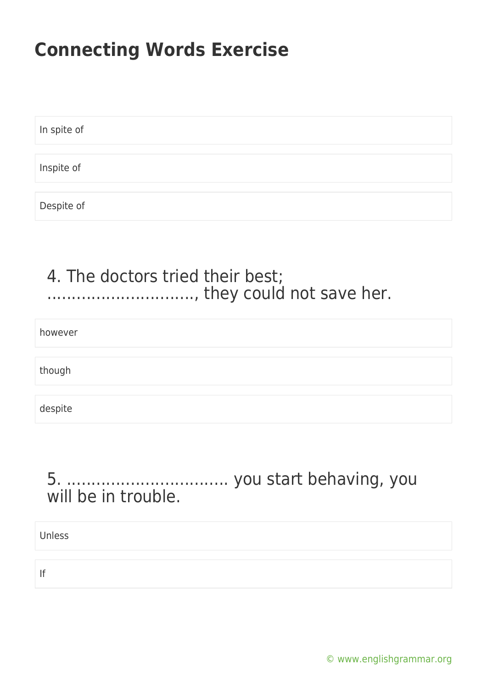In spite of Inspite of Despite of

### 4. The doctors tried their best; ............................., they could not save her.

however

though

despite

#### 5. ................................. you start behaving, you will be in trouble.

Unless

If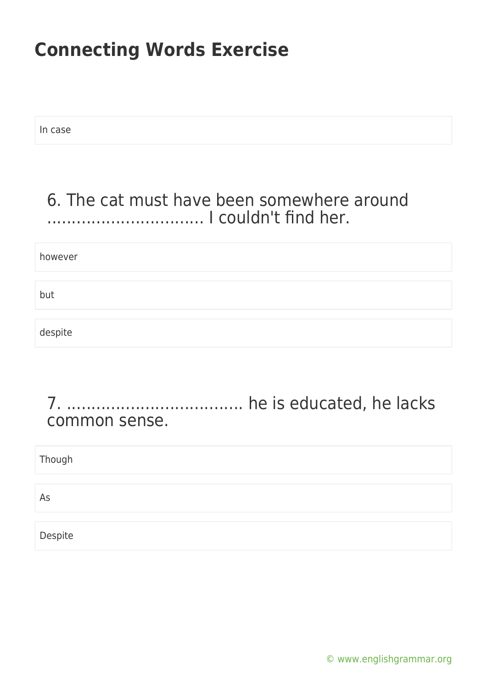In case

### 6. The cat must have been somewhere around ................................ I couldn't find her.

however

but

despite

#### 7. .................................... he is educated, he lacks common sense.

| Though  |  |
|---------|--|
|         |  |
| As      |  |
|         |  |
| Despite |  |

[© www.englishgrammar.org](https://www.englishgrammar.org/)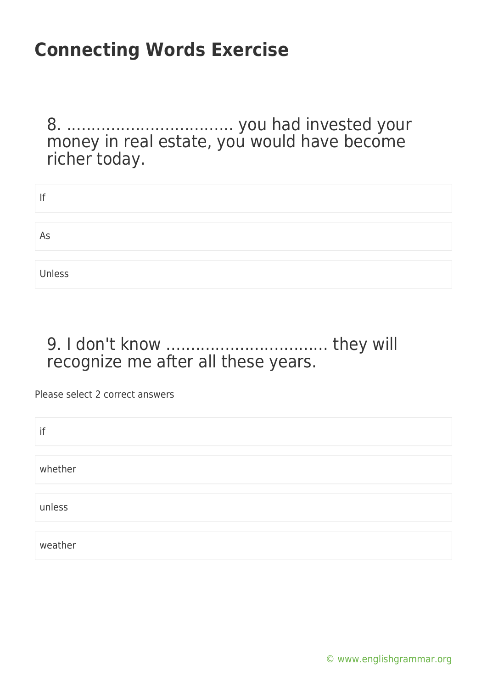8. .................................. you had invested your money in real estate, you would have become richer today.

| lf     |  |
|--------|--|
|        |  |
| As     |  |
|        |  |
| Unless |  |

### 9. I don't know ................................. they will recognize me after all these years.

Please select 2 correct answers

| if      |  |  |
|---------|--|--|
|         |  |  |
| whether |  |  |
|         |  |  |
| unless  |  |  |
|         |  |  |
| weather |  |  |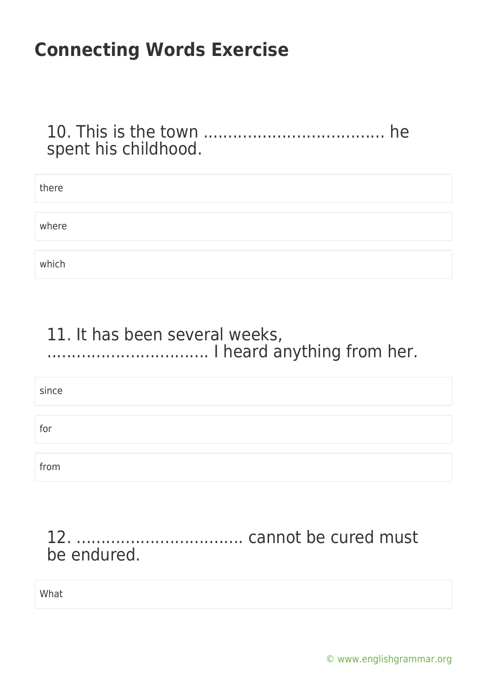#### 10. This is the town ..................................... he spent his childhood.

| there |  |  |  |
|-------|--|--|--|
|       |  |  |  |
| where |  |  |  |
|       |  |  |  |
| which |  |  |  |

### 11. It has been several weeks, ................................. I heard anything from her.

since

for

from

### 12. .................................. cannot be cured must be endured.

What